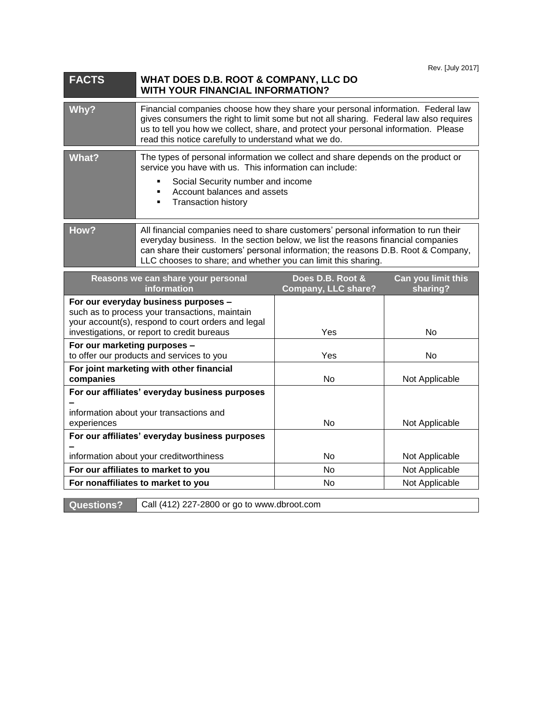| <b>FACTS</b>                                                                                                                                                                                | WHAT DOES D.B. ROOT & COMPANY, LLC DO<br><b>WITH YOUR FINANCIAL INFORMATION?</b>                                                                                                                                                                                                                                             |                                         |                                |
|---------------------------------------------------------------------------------------------------------------------------------------------------------------------------------------------|------------------------------------------------------------------------------------------------------------------------------------------------------------------------------------------------------------------------------------------------------------------------------------------------------------------------------|-----------------------------------------|--------------------------------|
| Why?                                                                                                                                                                                        | Financial companies choose how they share your personal information. Federal law<br>gives consumers the right to limit some but not all sharing. Federal law also requires<br>us to tell you how we collect, share, and protect your personal information. Please<br>read this notice carefully to understand what we do.    |                                         |                                |
| <b>What?</b>                                                                                                                                                                                | The types of personal information we collect and share depends on the product or<br>service you have with us. This information can include:<br>Social Security number and income<br>Account balances and assets<br><b>Transaction history</b><br>٠                                                                           |                                         |                                |
| How?                                                                                                                                                                                        | All financial companies need to share customers' personal information to run their<br>everyday business. In the section below, we list the reasons financial companies<br>can share their customers' personal information; the reasons D.B. Root & Company,<br>LLC chooses to share; and whether you can limit this sharing. |                                         |                                |
| Reasons we can share your personal<br>information                                                                                                                                           |                                                                                                                                                                                                                                                                                                                              | Does D.B. Root &<br>Company, LLC share? | Can you limit this<br>sharing? |
| For our everyday business purposes -<br>such as to process your transactions, maintain<br>your account(s), respond to court orders and legal<br>investigations, or report to credit bureaus |                                                                                                                                                                                                                                                                                                                              | Yes                                     | No.                            |

| your account(3), respond to court orders and legal<br>investigations, or report to credit bureaus | <b>Yes</b> | No             |
|---------------------------------------------------------------------------------------------------|------------|----------------|
| For our marketing purposes -<br>to offer our products and services to you                         | <b>Yes</b> | No             |
| For joint marketing with other financial<br>companies                                             | No         | Not Applicable |
| For our affiliates' everyday business purposes                                                    |            |                |
|                                                                                                   |            |                |
| information about your transactions and                                                           |            |                |
|                                                                                                   | No         |                |
| For our affiliates' everyday business purposes                                                    |            |                |
|                                                                                                   |            |                |
| information about your creditworthiness                                                           | No         | Not Applicable |
| For our affiliates to market to you                                                               | No         | Not Applicable |
| For nonaffiliates to market to you                                                                | No         | Not Applicable |
| experiences                                                                                       |            | Not Applicable |

**Questions?** Call (412) 227-2800 or go to www.dbroot.com